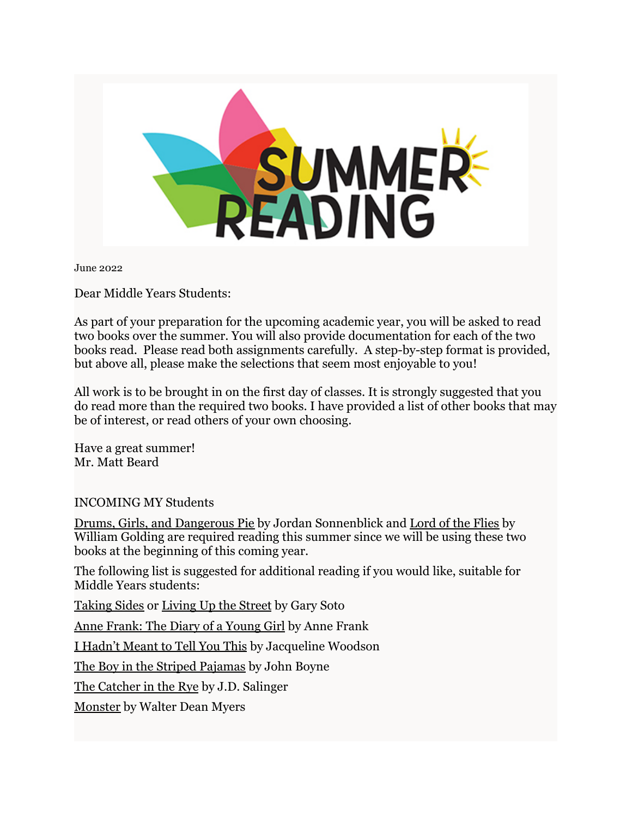

June 2022

Dear Middle Years Students:

As part of your preparation for the upcoming academic year, you will be asked to read two books over the summer. You will also provide documentation for each of the two books read. Please read both assignments carefully. A step-by-step format is provided, but above all, please make the selections that seem most enjoyable to you!

All work is to be brought in on the first day of classes. It is strongly suggested that you do read more than the required two books. I have provided a list of other books that may be of interest, or read others of your own choosing.

Have a great summer! Mr. Matt Beard

INCOMING MY Students

Drums, Girls, and Dangerous Pie by Jordan Sonnenblick and Lord of the Flies by William Golding are required reading this summer since we will be using these two books at the beginning of this coming year.

The following list is suggested for additional reading if you would like, suitable for Middle Years students:

Taking Sides or Living Up the Street by Gary Soto

Anne Frank: The Diary of a Young Girl by Anne Frank

I Hadn't Meant to Tell You This by Jacqueline Woodson

The Boy in the Striped Pajamas by John Boyne

The Catcher in the Rye by J.D. Salinger

Monster by Walter Dean Myers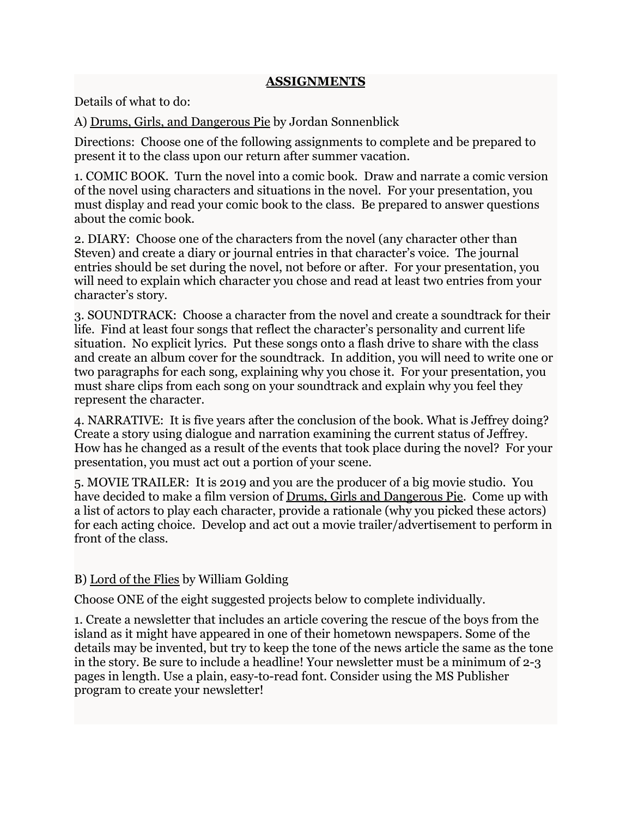#### **ASSIGNMENTS**

Details of what to do:

A) Drums, Girls, and Dangerous Pie by Jordan Sonnenblick

Directions: Choose one of the following assignments to complete and be prepared to present it to the class upon our return after summer vacation.

1. COMIC BOOK. Turn the novel into a comic book. Draw and narrate a comic version of the novel using characters and situations in the novel. For your presentation, you must display and read your comic book to the class. Be prepared to answer questions about the comic book.

2. DIARY: Choose one of the characters from the novel (any character other than Steven) and create a diary or journal entries in that character's voice. The journal entries should be set during the novel, not before or after. For your presentation, you will need to explain which character you chose and read at least two entries from your character's story.

3. SOUNDTRACK: Choose a character from the novel and create a soundtrack for their life. Find at least four songs that reflect the character's personality and current life situation. No explicit lyrics. Put these songs onto a flash drive to share with the class and create an album cover for the soundtrack. In addition, you will need to write one or two paragraphs for each song, explaining why you chose it. For your presentation, you must share clips from each song on your soundtrack and explain why you feel they represent the character.

4. NARRATIVE: It is five years after the conclusion of the book. What is Jeffrey doing? Create a story using dialogue and narration examining the current status of Jeffrey. How has he changed as a result of the events that took place during the novel? For your presentation, you must act out a portion of your scene.

5. MOVIE TRAILER: It is 2019 and you are the producer of a big movie studio. You have decided to make a film version of Drums, Girls and Dangerous Pie. Come up with a list of actors to play each character, provide a rationale (why you picked these actors) for each acting choice. Develop and act out a movie trailer/advertisement to perform in front of the class.

# B) Lord of the Flies by William Golding

Choose ONE of the eight suggested projects below to complete individually.

1. Create a newsletter that includes an article covering the rescue of the boys from the island as it might have appeared in one of their hometown newspapers. Some of the details may be invented, but try to keep the tone of the news article the same as the tone in the story. Be sure to include a headline! Your newsletter must be a minimum of 2-3 pages in length. Use a plain, easy-to-read font. Consider using the MS Publisher program to create your newsletter!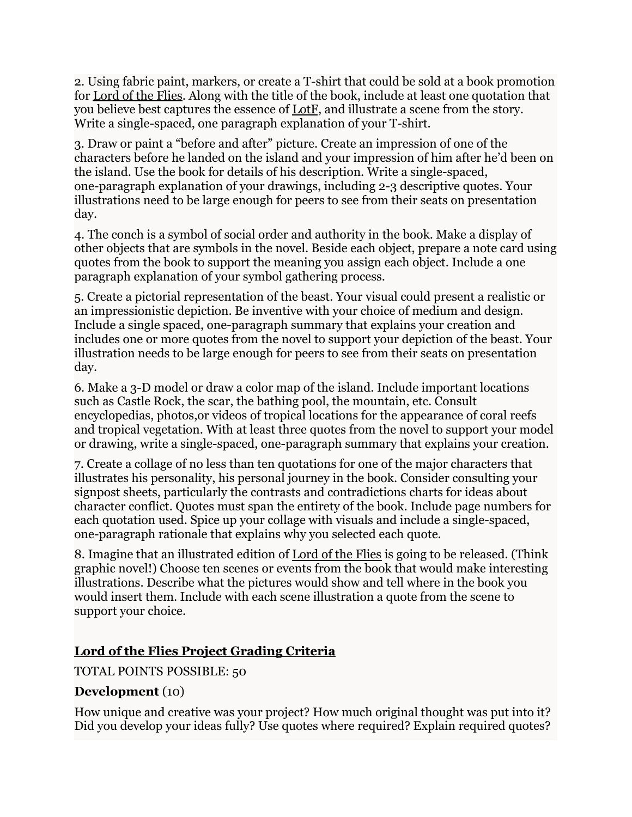2. Using fabric paint, markers, or create a T-shirt that could be sold at a book promotion for Lord of the Flies. Along with the title of the book, include at least one quotation that you believe best captures the essence of LotF, and illustrate a scene from the story. Write a single-spaced, one paragraph explanation of your T-shirt.

3. Draw or paint a "before and after" picture. Create an impression of one of the characters before he landed on the island and your impression of him after he'd been on the island. Use the book for details of his description. Write a single-spaced, one-paragraph explanation of your drawings, including 2-3 descriptive quotes. Your illustrations need to be large enough for peers to see from their seats on presentation day.

4. The conch is a symbol of social order and authority in the book. Make a display of other objects that are symbols in the novel. Beside each object, prepare a note card using quotes from the book to support the meaning you assign each object. Include a one paragraph explanation of your symbol gathering process.

5. Create a pictorial representation of the beast. Your visual could present a realistic or an impressionistic depiction. Be inventive with your choice of medium and design. Include a single spaced, one-paragraph summary that explains your creation and includes one or more quotes from the novel to support your depiction of the beast. Your illustration needs to be large enough for peers to see from their seats on presentation day.

6. Make a 3-D model or draw a color map of the island. Include important locations such as Castle Rock, the scar, the bathing pool, the mountain, etc. Consult encyclopedias, photos,or videos of tropical locations for the appearance of coral reefs and tropical vegetation. With at least three quotes from the novel to support your model or drawing, write a single-spaced, one-paragraph summary that explains your creation.

7. Create a collage of no less than ten quotations for one of the major characters that illustrates his personality, his personal journey in the book. Consider consulting your signpost sheets, particularly the contrasts and contradictions charts for ideas about character conflict. Quotes must span the entirety of the book. Include page numbers for each quotation used. Spice up your collage with visuals and include a single-spaced, one-paragraph rationale that explains why you selected each quote.

8. Imagine that an illustrated edition of Lord of the Flies is going to be released. (Think graphic novel!) Choose ten scenes or events from the book that would make interesting illustrations. Describe what the pictures would show and tell where in the book you would insert them. Include with each scene illustration a quote from the scene to support your choice.

# **Lord of the Flies Project Grading Criteria**

TOTAL POINTS POSSIBLE: 50

### **Development** (10)

How unique and creative was your project? How much original thought was put into it? Did you develop your ideas fully? Use quotes where required? Explain required quotes?